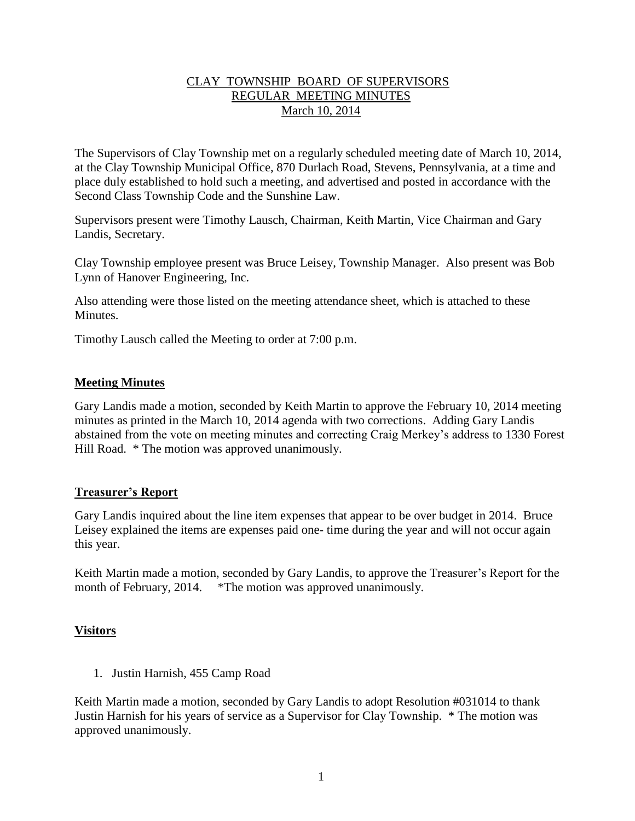## CLAY TOWNSHIP BOARD OF SUPERVISORS REGULAR MEETING MINUTES March 10, 2014

The Supervisors of Clay Township met on a regularly scheduled meeting date of March 10, 2014, at the Clay Township Municipal Office, 870 Durlach Road, Stevens, Pennsylvania, at a time and place duly established to hold such a meeting, and advertised and posted in accordance with the Second Class Township Code and the Sunshine Law.

Supervisors present were Timothy Lausch, Chairman, Keith Martin, Vice Chairman and Gary Landis, Secretary.

Clay Township employee present was Bruce Leisey, Township Manager. Also present was Bob Lynn of Hanover Engineering, Inc.

Also attending were those listed on the meeting attendance sheet, which is attached to these Minutes.

Timothy Lausch called the Meeting to order at 7:00 p.m.

## **Meeting Minutes**

Gary Landis made a motion, seconded by Keith Martin to approve the February 10, 2014 meeting minutes as printed in the March 10, 2014 agenda with two corrections. Adding Gary Landis abstained from the vote on meeting minutes and correcting Craig Merkey's address to 1330 Forest Hill Road. \* The motion was approved unanimously.

#### **Treasurer's Report**

Gary Landis inquired about the line item expenses that appear to be over budget in 2014. Bruce Leisey explained the items are expenses paid one- time during the year and will not occur again this year.

Keith Martin made a motion, seconded by Gary Landis, to approve the Treasurer's Report for the month of February, 2014. \* The motion was approved unanimously.

# **Visitors**

1. Justin Harnish, 455 Camp Road

Keith Martin made a motion, seconded by Gary Landis to adopt Resolution #031014 to thank Justin Harnish for his years of service as a Supervisor for Clay Township. \* The motion was approved unanimously.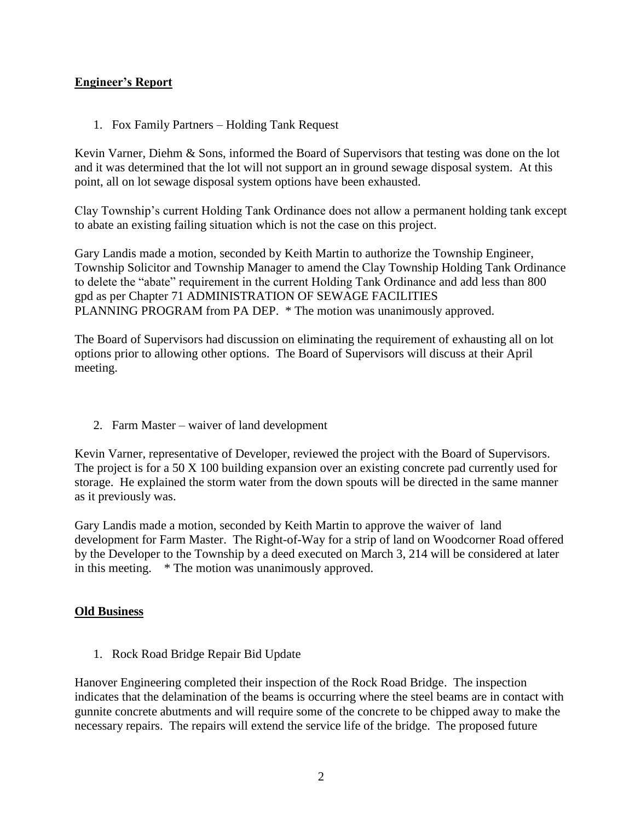# **Engineer's Report**

1. Fox Family Partners – Holding Tank Request

Kevin Varner, Diehm & Sons, informed the Board of Supervisors that testing was done on the lot and it was determined that the lot will not support an in ground sewage disposal system. At this point, all on lot sewage disposal system options have been exhausted.

Clay Township's current Holding Tank Ordinance does not allow a permanent holding tank except to abate an existing failing situation which is not the case on this project.

Gary Landis made a motion, seconded by Keith Martin to authorize the Township Engineer, Township Solicitor and Township Manager to amend the Clay Township Holding Tank Ordinance to delete the "abate" requirement in the current Holding Tank Ordinance and add less than 800 gpd as per Chapter 71 ADMINISTRATION OF SEWAGE FACILITIES PLANNING PROGRAM from PA DEP. \* The motion was unanimously approved.

The Board of Supervisors had discussion on eliminating the requirement of exhausting all on lot options prior to allowing other options. The Board of Supervisors will discuss at their April meeting.

2. Farm Master – waiver of land development

Kevin Varner, representative of Developer, reviewed the project with the Board of Supervisors. The project is for a 50 X 100 building expansion over an existing concrete pad currently used for storage. He explained the storm water from the down spouts will be directed in the same manner as it previously was.

Gary Landis made a motion, seconded by Keith Martin to approve the waiver of land development for Farm Master. The Right-of-Way for a strip of land on Woodcorner Road offered by the Developer to the Township by a deed executed on March 3, 214 will be considered at later in this meeting. \* The motion was unanimously approved.

# **Old Business**

1. Rock Road Bridge Repair Bid Update

Hanover Engineering completed their inspection of the Rock Road Bridge. The inspection indicates that the delamination of the beams is occurring where the steel beams are in contact with gunnite concrete abutments and will require some of the concrete to be chipped away to make the necessary repairs. The repairs will extend the service life of the bridge. The proposed future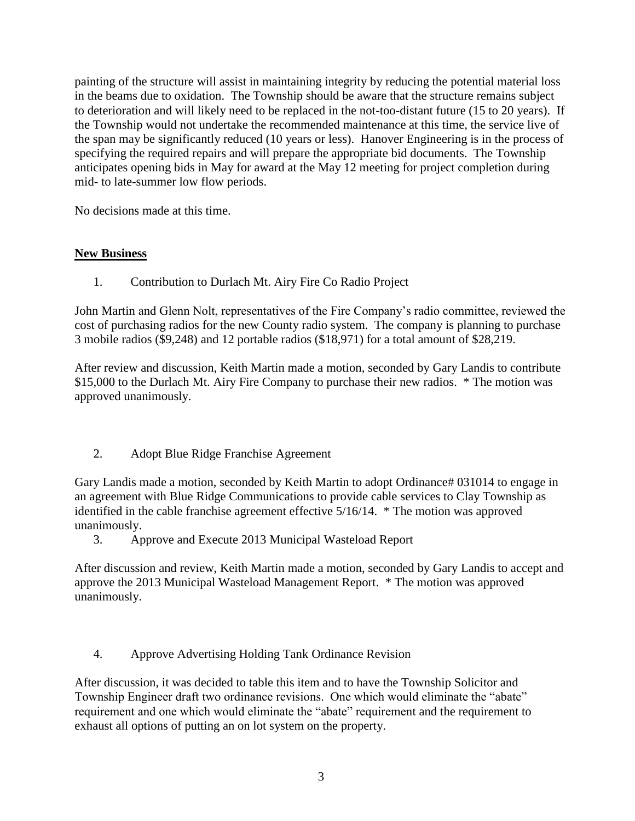painting of the structure will assist in maintaining integrity by reducing the potential material loss in the beams due to oxidation. The Township should be aware that the structure remains subject to deterioration and will likely need to be replaced in the not-too-distant future (15 to 20 years). If the Township would not undertake the recommended maintenance at this time, the service live of the span may be significantly reduced (10 years or less). Hanover Engineering is in the process of specifying the required repairs and will prepare the appropriate bid documents. The Township anticipates opening bids in May for award at the May 12 meeting for project completion during mid- to late-summer low flow periods.

No decisions made at this time.

# **New Business**

1. Contribution to Durlach Mt. Airy Fire Co Radio Project

John Martin and Glenn Nolt, representatives of the Fire Company's radio committee, reviewed the cost of purchasing radios for the new County radio system. The company is planning to purchase 3 mobile radios (\$9,248) and 12 portable radios (\$18,971) for a total amount of \$28,219.

After review and discussion, Keith Martin made a motion, seconded by Gary Landis to contribute \$15,000 to the Durlach Mt. Airy Fire Company to purchase their new radios. \* The motion was approved unanimously.

2. Adopt Blue Ridge Franchise Agreement

Gary Landis made a motion, seconded by Keith Martin to adopt Ordinance# 031014 to engage in an agreement with Blue Ridge Communications to provide cable services to Clay Township as identified in the cable franchise agreement effective 5/16/14. \* The motion was approved unanimously.

3. Approve and Execute 2013 Municipal Wasteload Report

After discussion and review, Keith Martin made a motion, seconded by Gary Landis to accept and approve the 2013 Municipal Wasteload Management Report. \* The motion was approved unanimously.

4. Approve Advertising Holding Tank Ordinance Revision

After discussion, it was decided to table this item and to have the Township Solicitor and Township Engineer draft two ordinance revisions. One which would eliminate the "abate" requirement and one which would eliminate the "abate" requirement and the requirement to exhaust all options of putting an on lot system on the property.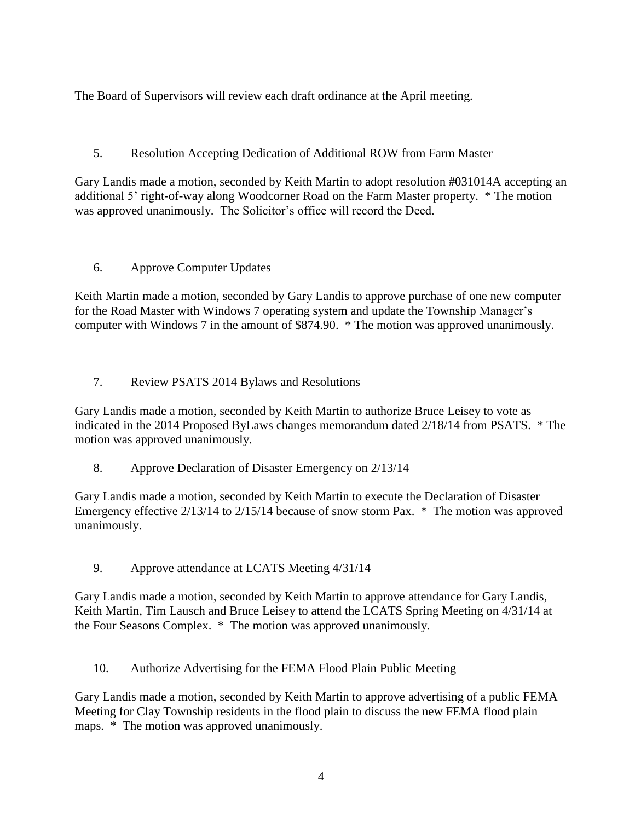The Board of Supervisors will review each draft ordinance at the April meeting.

# 5. Resolution Accepting Dedication of Additional ROW from Farm Master

Gary Landis made a motion, seconded by Keith Martin to adopt resolution #031014A accepting an additional 5' right-of-way along Woodcorner Road on the Farm Master property. \* The motion was approved unanimously. The Solicitor's office will record the Deed.

# 6. Approve Computer Updates

Keith Martin made a motion, seconded by Gary Landis to approve purchase of one new computer for the Road Master with Windows 7 operating system and update the Township Manager's computer with Windows 7 in the amount of \$874.90. \* The motion was approved unanimously.

## 7. Review PSATS 2014 Bylaws and Resolutions

Gary Landis made a motion, seconded by Keith Martin to authorize Bruce Leisey to vote as indicated in the 2014 Proposed ByLaws changes memorandum dated 2/18/14 from PSATS. \* The motion was approved unanimously.

8. Approve Declaration of Disaster Emergency on 2/13/14

Gary Landis made a motion, seconded by Keith Martin to execute the Declaration of Disaster Emergency effective 2/13/14 to 2/15/14 because of snow storm Pax. \* The motion was approved unanimously.

9. Approve attendance at LCATS Meeting 4/31/14

Gary Landis made a motion, seconded by Keith Martin to approve attendance for Gary Landis, Keith Martin, Tim Lausch and Bruce Leisey to attend the LCATS Spring Meeting on 4/31/14 at the Four Seasons Complex. \* The motion was approved unanimously.

10. Authorize Advertising for the FEMA Flood Plain Public Meeting

Gary Landis made a motion, seconded by Keith Martin to approve advertising of a public FEMA Meeting for Clay Township residents in the flood plain to discuss the new FEMA flood plain maps. \* The motion was approved unanimously.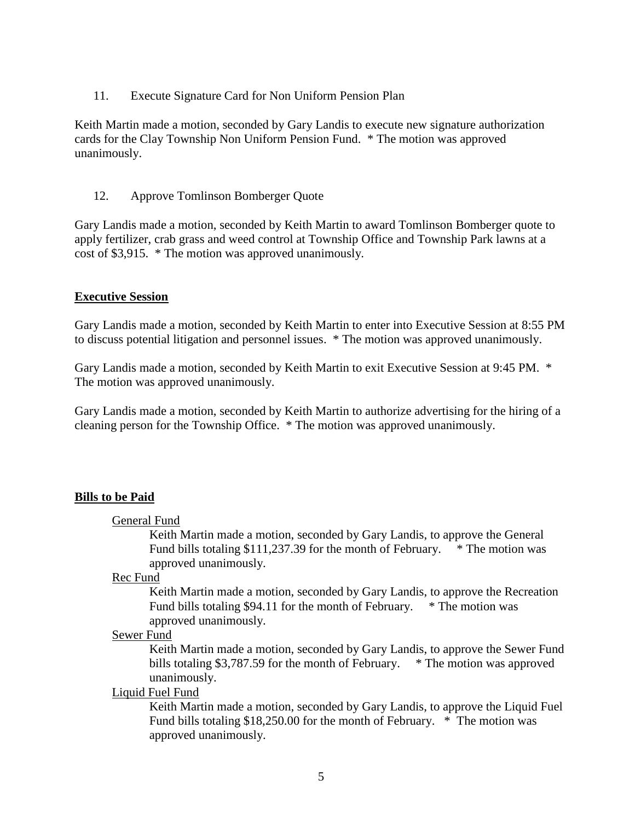## 11. Execute Signature Card for Non Uniform Pension Plan

Keith Martin made a motion, seconded by Gary Landis to execute new signature authorization cards for the Clay Township Non Uniform Pension Fund. \* The motion was approved unanimously.

## 12. Approve Tomlinson Bomberger Quote

Gary Landis made a motion, seconded by Keith Martin to award Tomlinson Bomberger quote to apply fertilizer, crab grass and weed control at Township Office and Township Park lawns at a cost of \$3,915. \* The motion was approved unanimously.

## **Executive Session**

Gary Landis made a motion, seconded by Keith Martin to enter into Executive Session at 8:55 PM to discuss potential litigation and personnel issues. \* The motion was approved unanimously.

Gary Landis made a motion, seconded by Keith Martin to exit Executive Session at 9:45 PM. \* The motion was approved unanimously.

Gary Landis made a motion, seconded by Keith Martin to authorize advertising for the hiring of a cleaning person for the Township Office. \* The motion was approved unanimously.

# **Bills to be Paid**

#### General Fund

Keith Martin made a motion, seconded by Gary Landis, to approve the General Fund bills totaling \$111,237.39 for the month of February.  $*$  The motion was approved unanimously.

Rec Fund

Keith Martin made a motion, seconded by Gary Landis, to approve the Recreation Fund bills totaling \$94.11 for the month of February. \* The motion was approved unanimously.

#### Sewer Fund

Keith Martin made a motion, seconded by Gary Landis, to approve the Sewer Fund bills totaling \$3,787.59 for the month of February. \* The motion was approved unanimously.

#### Liquid Fuel Fund

Keith Martin made a motion, seconded by Gary Landis, to approve the Liquid Fuel Fund bills totaling \$18,250.00 for the month of February. \* The motion was approved unanimously.